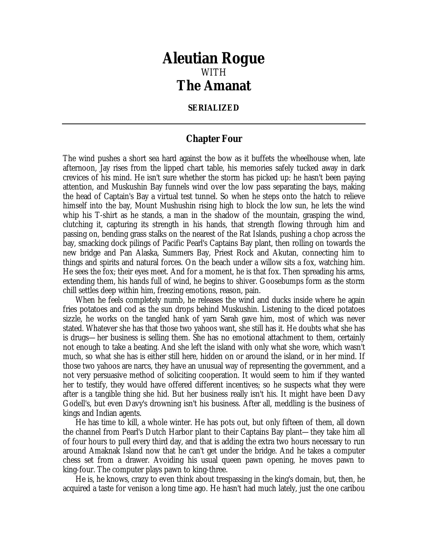## *Aleutian Rogue* WITH *The Amanat*

## **SERIALIZED**

## **Chapter Four**

The wind pushes a short sea hard against the bow as it buffets the wheelhouse when, late afternoon, Jay rises from the lipped chart table, his memories safely tucked away in dark crevices of his mind. He isn't sure whether the storm has picked up: he hasn't been paying attention, and Muskushin Bay funnels wind over the low pass separating the bays, making the head of Captain's Bay a virtual test tunnel. So when he steps onto the hatch to relieve himself into the bay, Mount Mushushin rising high to block the low sun, he lets the wind whip his T-shirt as he stands, a man in the shadow of the mountain, grasping the wind, clutching it, capturing its strength in his hands, that strength flowing through him and passing on, bending grass stalks on the nearest of the Rat Islands, pushing a chop across the bay, smacking dock pilings of Pacific Pearl's Captains Bay plant, then rolling on towards the new bridge and Pan Alaska, Summers Bay, Priest Rock and Akutan, connecting him to things and spirits and natural forces. On the beach under a willow sits a fox, watching him. He sees the fox; their eyes meet. And for a moment, he is that fox. Then spreading his arms, extending them, his hands full of wind, he begins to shiver. Goosebumps form as the storm chill settles deep within him, freezing emotions, reason, pain.

When he feels completely numb, he releases the wind and ducks inside where he again fries potatoes and cod as the sun drops behind Muskushin. Listening to the diced potatoes sizzle, he works on the tangled hank of yarn Sarah gave him, most of which was never stated. Whatever she has that those two yahoos want, she still has it. He doubts what she has is drugs—her business is selling them. She has no emotional attachment to them, certainly not enough to take a beating. And she left the island with only what she wore, which wasn't much, so what she has is either still here, hidden on or around the island, or in her mind. If those two yahoos are narcs, they have an unusual way of representing the government, and a not very persuasive method of soliciting cooperation. It would seem to him if they wanted her to testify, they would have offered different incentives; so he suspects what they were after is a tangible thing she hid. But her business really isn't his. It might have been Davy Godell's, but even Davy's drowning isn't his business. After all, meddling is the business of kings and Indian agents.

He has time to kill, a whole winter. He has pots out, but only fifteen of them, all down the channel from Pearl's Dutch Harbor plant to their Captains Bay plant—they take him all of four hours to pull every third day, and that is adding the extra two hours necessary to run around Amaknak Island now that he can't get under the bridge. And he takes a computer chess set from a drawer. Avoiding his usual queen pawn opening, he moves pawn to king-four. The computer plays pawn to king-three.

He is, he knows, crazy to even think about trespassing in the king's domain, but, then, he acquired a taste for venison a long time ago. He hasn't had much lately, just the one caribou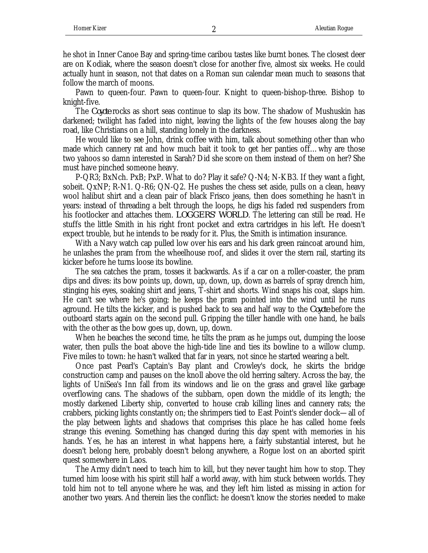he shot in Inner Canoe Bay and spring-time caribou tastes like burnt bones. The closest deer are on Kodiak, where the season doesn't close for another five, almost six weeks. He could actually hunt in season, not that dates on a Roman sun calendar mean much to seasons that follow the march of moons.

Pawn to queen-four. Pawn to queen-four. Knight to queen-bishop-three. Bishop to knight-five.

The *Coyote* rocks as short seas continue to slap its bow. The shadow of Mushuskin has darkened; twilight has faded into night, leaving the lights of the few houses along the bay road, like Christians on a hill, standing lonely in the darkness.

He would like to see John, drink coffee with him, talk about something other than who made which cannery rat and how much bait it took to get her panties off…why are those two yahoos so damn interested in Sarah? Did she score on them instead of them on her? She must have pinched someone heavy.

P-QR3; BxNch. PxB; PxP. What to do? Play it safe? Q-N4; N-KB3. If they want a fight, sobeit. QxNP; R-N1. Q-R6; QN-Q2. He pushes the chess set aside, pulls on a clean, heavy wool halibut shirt and a clean pair of black Frisco jeans, then does something he hasn't in years: instead of threading a belt through the loops, he digs his faded red suspenders from his footlocker and attaches them. *LOGGERS' WORLD*. The lettering can still be read. He stuffs the little Smith in his right front pocket and extra cartridges in his left. He doesn't expect trouble, but he intends to be ready for it. Plus, the Smith is intimation insurance.

With a Navy watch cap pulled low over his ears and his dark green raincoat around him, he unlashes the pram from the wheelhouse roof, and slides it over the stern rail, starting its kicker before he turns loose its bowline.

The sea catches the pram, tosses it backwards. As if a car on a roller-coaster, the pram dips and dives: its bow points up, down, up, down, up, down as barrels of spray drench him, stinging his eyes, soaking shirt and jeans, T-shirt and shorts. Wind snaps his coat, slaps him. He can't see where he's going; he keeps the pram pointed into the wind until he runs aground. He tilts the kicker, and is pushed back to sea and half way to the *Coyote* before the outboard starts again on the second pull. Gripping the tiller handle with one hand, he bails with the other as the bow goes up, down, up, down.

When he beaches the second time, he tilts the pram as he jumps out, dumping the loose water, then pulls the boat above the high-tide line and ties its bowline to a willow clump. Five miles to town: he hasn't walked that far in years, not since he started wearing a belt.

Once past Pearl's Captain's Bay plant and Crowley's dock, he skirts the bridge construction camp and pauses on the knoll above the old herring saltery. Across the bay, the lights of UniSea's Inn fall from its windows and lie on the grass and gravel like garbage overflowing cans. The shadows of the subbarn, open down the middle of its length; the mostly darkened Liberty ship, converted to house crab killing lines and cannery rats; the crabbers, picking lights constantly on; the shrimpers tied to East Point's slender dock—all of the play between lights and shadows that comprises this place he has called home feels strange this evening. Something has changed during this day spent with memories in his hands. Yes, he has an interest in what happens here, a fairly substantial interest, but he doesn't belong here, probably doesn't belong anywhere, a Rogue lost on an aborted spirit quest somewhere in Laos.

The Army didn't need to teach him to kill, but they never taught him how to stop. They turned him loose with his spirit still half a world away, with him stuck between worlds. They told him not to tell anyone where he was, and they left him listed as missing in action for another two years. And therein lies the conflict: he doesn't know the stories needed to make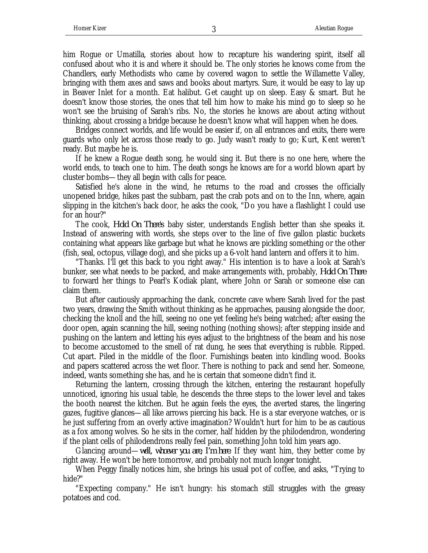him Rogue or Umatilla, stories about how to recapture his wandering spirit, itself all confused about who it is and where it should be. The only stories he knows come from the Chandlers, early Methodists who came by covered wagon to settle the Willamette Valley, bringing with them axes and saws and books about martyrs. Sure, it would be easy to lay up in Beaver Inlet for a month. Eat halibut. Get caught up on sleep. Easy & smart. But he doesn't know those stories, the ones that tell him how to make his mind go to sleep so he won't see the bruising of Sarah's ribs. No, the stories he knows are about acting without thinking, about crossing a bridge because he doesn't know what will happen when he does.

Bridges connect worlds, and life would be easier if, on all entrances and exits, there were guards who only let across those ready to go. Judy wasn't ready to go; Kurt, Kent weren't ready. But maybe he is.

If he knew a Rogue death song, he would sing it. But there is no one here, where the world ends, to teach one to him. The death songs he knows are for a world blown apart by cluster bombs—they all begin with calls for peace.

Satisfied he's alone in the wind, he returns to the road and crosses the officially unopened bridge, hikes past the subbarn, past the crab pots and on to the Inn, where, again slipping in the kitchen's back door, he asks the cook, "Do you have a flashlight I could use for an hour?"

The cook, *Hold On There*'s baby sister, understands English better than she speaks it. Instead of answering with words, she steps over to the line of five gallon plastic buckets containing what appears like garbage but what he knows are pickling something or the other (fish, seal, octopus, village dog), and she picks up a 6-volt hand lantern and offers it to him.

"Thanks. I'll get this back to you right away." His intention is to have a look at Sarah's bunker, see what needs to be packed, and make arrangements with, probably, *Hold On There* to forward her things to Pearl's Kodiak plant, where John or Sarah or someone else can claim them.

But after cautiously approaching the dank, concrete cave where Sarah lived for the past two years, drawing the Smith without thinking as he approaches, pausing alongside the door, checking the knoll and the hill, seeing no one yet feeling he's being watched; after easing the door open, again scanning the hill, seeing nothing (nothing shows); after stepping inside and pushing on the lantern and letting his eyes adjust to the brightness of the beam and his nose to become accustomed to the smell of rat dung, he sees that everything is rubble. Ripped. Cut apart. Piled in the middle of the floor. Furnishings beaten into kindling wood. Books and papers scattered across the wet floor. There is nothing to pack and send her. Someone, indeed, wants something she has, and he is certain that someone didn't find it.

Returning the lantern, crossing through the kitchen, entering the restaurant hopefully unnoticed, ignoring his usual table, he descends the three steps to the lower level and takes the booth nearest the kitchen. But he again feels the eyes, the averted stares, the lingering gazes, fugitive glances—all like arrows piercing his back. He is a star everyone watches, or is he just suffering from an overly active imagination? Wouldn't hurt for him to be as cautious as a fox among wolves. So he sits in the corner, half hidden by the philodendron, wondering if the plant cells of philodendrons really feel pain, something John told him years ago.

Glancing around—*well, whoever you are, I'm here*. If they want him, they better come by right away. He won't be here tomorrow, and probably not much longer tonight.

When Peggy finally notices him, she brings his usual pot of coffee, and asks, "Trying to hide?"

"Expecting company." He isn't hungry: his stomach still struggles with the greasy potatoes and cod.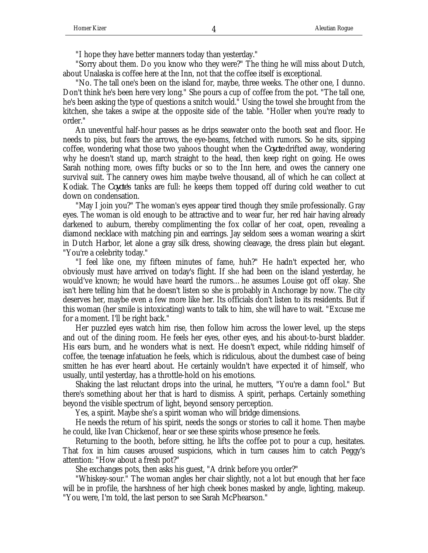"I hope they have better manners today than yesterday."

"Sorry about them. Do you know who they were?" The thing he will miss about Dutch, about Unalaska is coffee here at the Inn, not that the coffee itself is exceptional.

"No. The tall one's been on the island for, maybe, three weeks. The other one, I dunno. Don't think he's been here very long." She pours a cup of coffee from the pot. "The tall one, he's been asking the type of questions a snitch would." Using the towel she brought from the kitchen, she takes a swipe at the opposite side of the table. "Holler when you're ready to order."

An uneventful half-hour passes as he drips seawater onto the booth seat and floor. He needs to piss, but fears the arrows, the eye-beams, fetched with rumors. So he sits, sipping coffee, wondering what those two yahoos thought when the *Coyote* drifted away, wondering why he doesn't stand up, march straight to the head, then keep right on going. He owes Sarah nothing more, owes fifty bucks or so to the Inn here, and owes the cannery one survival suit. The cannery owes him maybe twelve thousand, all of which he can collect at Kodiak. The *Coyote*'s tanks are full: he keeps them topped off during cold weather to cut down on condensation.

"May I join you?" The woman's eyes appear tired though they smile professionally. Gray eyes. The woman is old enough to be attractive and to wear fur, her red hair having already darkened to auburn, thereby complimenting the fox collar of her coat, open, revealing a diamond necklace with matching pin and earrings. Jay seldom sees a woman wearing a skirt in Dutch Harbor, let alone a gray silk dress, showing cleavage, the dress plain but elegant. "You're a celebrity today."

"I feel like one, my fifteen minutes of fame, huh?" He hadn't expected her, who obviously must have arrived on today's flight. If she had been on the island yesterday, he would've known; he would have heard the rumors…he assumes Louise got off okay. She isn't here telling him that he doesn't listen so she is probably in Anchorage by now. The city deserves her, maybe even a few more like her. Its officials don't listen to its residents. But if this woman (her smile is intoxicating) wants to talk to him, she will have to wait. "Excuse me for a moment. I'll be right back."

Her puzzled eyes watch him rise, then follow him across the lower level, up the steps and out of the dining room. He feels her eyes, other eyes, and his about-to-burst bladder. His ears burn, and he wonders what is next. He doesn't expect, while ridding himself of coffee, the teenage infatuation he feels, which is ridiculous, about the dumbest case of being smitten he has ever heard about. He certainly wouldn't have expected it of himself, who usually, until yesterday, has a throttle-hold on his emotions.

Shaking the last reluctant drops into the urinal, he mutters, "You're a damn fool." But there's something about her that is hard to dismiss. A spirit, perhaps. Certainly something beyond the visible spectrum of light, beyond sensory perception.

Yes, a spirit. Maybe she's a spirit woman who will bridge dimensions.

He needs the return of his spirit, needs the songs or stories to call it home. Then maybe he could, like Ivan Chickenof, hear or see these spirits whose presence he feels.

Returning to the booth, before sitting, he lifts the coffee pot to pour a cup, hesitates. That fox in him causes aroused suspicions, which in turn causes him to catch Peggy's attention: "How about a fresh pot?"

She exchanges pots, then asks his guest, "A drink before you order?"

"Whiskey-sour." The woman angles her chair slightly, not a lot but enough that her face will be in profile, the harshness of her high cheek bones masked by angle, lighting, makeup. "You were, I'm told, the last person to see Sarah McPhearson."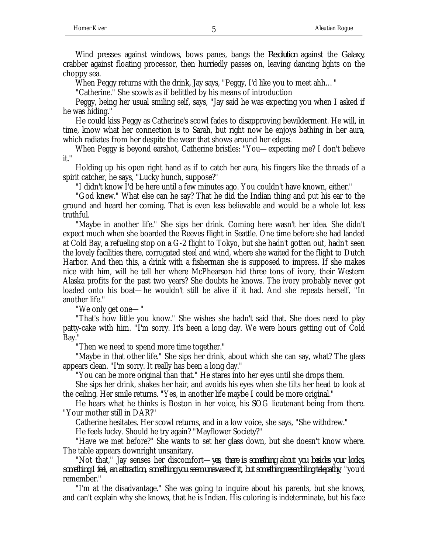Wind presses against windows, bows panes, bangs the *Resolution* against the *Galaxy*, crabber against floating processor, then hurriedly passes on, leaving dancing lights on the choppy sea.

When Peggy returns with the drink, Jay says, "Peggy, I'd like you to meet ahh…"

"Catherine." She scowls as if belittled by his means of introduction

Peggy, being her usual smiling self, says, "Jay said he was expecting you when I asked if he was hiding."

He could kiss Peggy as Catherine's scowl fades to disapproving bewilderment. He will, in time, know what her connection is to Sarah, but right now he enjoys bathing in her aura, which radiates from her despite the wear that shows around her edges.

When Peggy is beyond earshot, Catherine bristles: "You—expecting me? I don't believe it."

Holding up his open right hand as if to catch her aura, his fingers like the threads of a spirit catcher, he says, "Lucky hunch, suppose?"

"I didn't know I'd be here until a few minutes ago. You couldn't have known, either."

"God knew." What else can he say? That he did the Indian thing and put his ear to the ground and heard her coming. That is even less believable and would be a whole lot less truthful.

"Maybe in another life." She sips her drink. Coming here wasn't her idea. She didn't expect much when she boarded the Reeves flight in Seattle. One time before she had landed at Cold Bay, a refueling stop on a G-2 flight to Tokyo, but she hadn't gotten out, hadn't seen the lovely facilities there, corrugated steel and wind, where she waited for the flight to Dutch Harbor. And then this, a drink with a fisherman she is supposed to impress. If she makes nice with him, will he tell her where McPhearson hid three tons of ivory, their Western Alaska profits for the past two years? She doubts he knows. The ivory probably never got loaded onto his boat—he wouldn't still be alive if it had. And she repeats herself, "In another life."

"We only get one—"

"That's how little you know." She wishes she hadn't said that. She does need to play patty-cake with him. "I'm sorry. It's been a long day. We were hours getting out of Cold Bay."

"Then we need to spend more time together."

"Maybe in that other life." She sips her drink, about which she can say, what? The glass appears clean. "I'm sorry. It really has been a long day."

"You can be more original than that." He stares into her eyes until she drops them.

She sips her drink, shakes her hair, and avoids his eyes when she tilts her head to look at the ceiling. Her smile returns. "Yes, in another life maybe I could be more original."

He hears what he thinks is Boston in her voice, his SOG lieutenant being from there. "Your mother still in DAR?"

Catherine hesitates. Her scowl returns, and in a low voice, she says, "She withdrew."

He feels lucky. Should he try again? "Mayflower Society?"

"Have we met before?" She wants to set her glass down, but she doesn't know where. The table appears downright unsanitary.

"Not that," Jay senses her discomfort—*yes, there is something about you besides your looks, something I feel, an attraction, something you seem unaware of it, but something resembling telepathy*, "you'd remember."

"I'm at the disadvantage." She was going to inquire about his parents, but she knows, and can't explain why she knows, that he is Indian. His coloring is indeterminate, but his face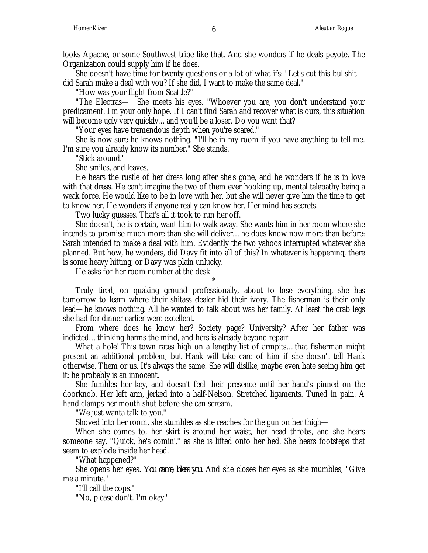She doesn't have time for twenty questions or a lot of what-ifs: "Let's cut this bullshit did Sarah make a deal with you? If she did, I want to make the same deal."

"How was your flight from Seattle?"

"The Electras—" She meets his eyes. "Whoever you are, you don't understand your predicament. I'm your only hope. If I can't find Sarah and recover what is ours, this situation will become ugly very quickly...and you'll be a loser. Do you want that?"

"Your eyes have tremendous depth when you're scared."

She is now sure he knows nothing. "I'll be in my room if you have anything to tell me. I'm sure you already know its number." She stands.

"Stick around."

She smiles, and leaves.

He hears the rustle of her dress long after she's gone, and he wonders if he is in love with that dress. He can't imagine the two of them ever hooking up, mental telepathy being a weak force. He would like to be in love with her, but she will never give him the time to get to know her. He wonders if anyone really can know her. Her mind has secrets.

Two lucky guesses. That's all it took to run her off.

She doesn't, he is certain, want him to walk away. She wants him in her room where she intends to promise much more than she will deliver…he does know now more than before: Sarah intended to make a deal with him. Evidently the two yahoos interrupted whatever she planned. But how, he wonders, did Davy fit into all of this? In whatever is happening, there is some heavy hitting, or Davy was plain unlucky.

He asks for her room number at the desk.

Truly tired, on quaking ground professionally, about to lose everything, she has tomorrow to learn where their shitass dealer hid their ivory. The fisherman is their only lead—he knows nothing. All he wanted to talk about was her family. At least the crab legs she had for dinner earlier were excellent.

\*

From where does he know her? Society page? University? After her father was indicted...thinking harms the mind, and hers is already beyond repair.

What a hole! This town rates high on a lengthy list of armpits...that fisherman might present an additional problem, but Hank will take care of him if she doesn't tell Hank otherwise. Them or us. It's always the same. She will dislike, maybe even hate seeing him get it: he probably is an innocent.

She fumbles her key, and doesn't feel their presence until her hand's pinned on the doorknob. Her left arm, jerked into a half-Nelson. Stretched ligaments. Tuned in pain. A hand clamps her mouth shut before she can scream.

"We just wanta talk to you."

Shoved into her room, she stumbles as she reaches for the gun on her thigh—

When she comes to, her skirt is around her waist, her head throbs, and she hears someone say, "Quick, he's comin'," as she is lifted onto her bed. She hears footsteps that seem to explode inside her head.

"What happened?"

She opens her eyes. *You came, bless you*. And she closes her eyes as she mumbles, "Give me a minute."

"I'll call the cops."

"No, please don't. I'm okay."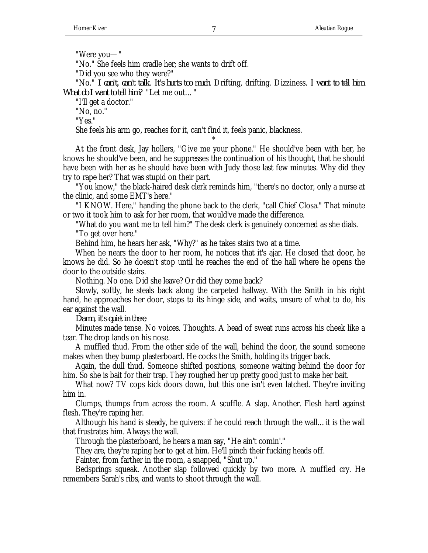"Were you—"

"No." She feels him cradle her; she wants to drift off.

"Did you see who they were?"

"No." *I can't, can't talk. It's hurts too much*. Drifting, drifting. Dizziness. *I want to tell him. What do I want to tell him?* "Let me out…"

"I'll get a doctor."

"No, no."

"Yes."

She feels his arm go, reaches for it, can't find it, feels panic, blackness.

At the front desk, Jay hollers, "Give me your phone." He should've been with her, he knows he should've been, and he suppresses the continuation of his thought, that he should have been with her as he should have been with Judy those last few minutes. Why did they try to rape her? That was stupid on their part.

\*

"You know," the black-haired desk clerk reminds him, "there's no doctor, only a nurse at the clinic, and some EMT's here."

"I KNOW. Here," handing the phone back to the clerk, "call Chief Closa." That minute or two it took him to ask for her room, that would've made the difference.

"What do you want me to tell him?" The desk clerk is genuinely concerned as she dials. "To get over here."

Behind him, he hears her ask, "Why?" as he takes stairs two at a time.

When he nears the door to her room, he notices that it's ajar. He closed that door, he knows he did. So he doesn't stop until he reaches the end of the hall where he opens the door to the outside stairs.

Nothing. No one. Did she leave? Or did they come back?

Slowly, softly, he steals back along the carpeted hallway. With the Smith in his right hand, he approaches her door, stops to its hinge side, and waits, unsure of what to do, his ear against the wall.

*Damn, it's quiet in there*.

Minutes made tense. No voices. Thoughts. A bead of sweat runs across his cheek like a tear. The drop lands on his nose.

A muffled thud. From the other side of the wall, behind the door, the sound someone makes when they bump plasterboard. He cocks the Smith, holding its trigger back.

Again, the dull thud. Someone shifted positions, someone waiting behind the door for him. So she is bait for their trap. They roughed her up pretty good just to make her bait.

What now? TV cops kick doors down, but this one isn't even latched. They're inviting him in.

Clumps, thumps from across the room. A scuffle. A slap. Another. Flesh hard against flesh. They're raping her.

Although his hand is steady, he quivers: if he could reach through the wall…it is the wall that frustrates him. Always the wall.

Through the plasterboard, he hears a man say, "He ain't comin'."

They are, they're raping her to get at him. He'll pinch their fucking heads off.

Fainter, from farther in the room, a snapped, "Shut up."

Bedsprings squeak. Another slap followed quickly by two more. A muffled cry. He remembers Sarah's ribs, and wants to shoot through the wall.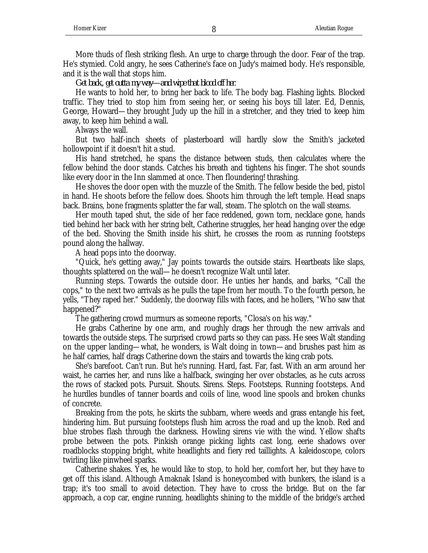More thuds of flesh striking flesh. An urge to charge through the door. Fear of the trap. He's stymied. Cold angry, he sees Catherine's face on Judy's maimed body. He's responsible, and it is the wall that stops him.

*Get back, get outta my way—and wipe that blood off her*.

He wants to hold her, to bring her back to life. The body bag. Flashing lights. Blocked traffic. They tried to stop him from seeing her, or seeing his boys till later. Ed, Dennis, George, Howard—they brought Judy up the hill in a stretcher, and they tried to keep him away, to keep him behind a wall.

Always the wall.

But two half-inch sheets of plasterboard will hardly slow the Smith's jacketed hollowpoint if it doesn't hit a stud.

His hand stretched, he spans the distance between studs, then calculates where the fellow behind the door stands. Catches his breath and tightens his finger. The shot sounds like every door in the Inn slammed at once. Then floundering! thrashing.

He shoves the door open with the muzzle of the Smith. The fellow beside the bed, pistol in hand. He shoots before the fellow does. Shoots him through the left temple. Head snaps back. Brains, bone fragments splatter the far wall, steam. The splotch on the wall steams.

Her mouth taped shut, the side of her face reddened, gown torn, necklace gone, hands tied behind her back with her string belt, Catherine struggles, her head hanging over the edge of the bed. Shoving the Smith inside his shirt, he crosses the room as running footsteps pound along the hallway.

A head pops into the doorway.

"Quick, he's getting away," Jay points towards the outside stairs. Heartbeats like slaps, thoughts splattered on the wall—he doesn't recognize Walt until later.

Running steps. Towards the outside door. He unties her hands, and barks, "Call the cops," to the next two arrivals as he pulls the tape from her mouth. To the fourth person, he yells, "They raped her." Suddenly, the doorway fills with faces, and he hollers, "Who saw that happened?"

The gathering crowd murmurs as someone reports, "Closa's on his way."

He grabs Catherine by one arm, and roughly drags her through the new arrivals and towards the outside steps. The surprised crowd parts so they can pass. He sees Walt standing on the upper landing—what, he wonders, is Walt doing in town—and brushes past him as he half carries, half drags Catherine down the stairs and towards the king crab pots.

She's barefoot. Can't run. But he's running. Hard, fast. Far, fast. With an arm around her waist, he carries her, and runs like a halfback, swinging her over obstacles, as he cuts across the rows of stacked pots. Pursuit. Shouts. Sirens. Steps. Footsteps. Running footsteps. And he hurdles bundles of tanner boards and coils of line, wood line spools and broken chunks of concrete.

Breaking from the pots, he skirts the subbarn, where weeds and grass entangle his feet, hindering him. But pursuing footsteps flush him across the road and up the knob. Red and blue strobes flash through the darkness. Howling sirens vie with the wind. Yellow shafts probe between the pots. Pinkish orange picking lights cast long, eerie shadows over roadblocks stopping bright, white headlights and fiery red taillights. A kaleidoscope, colors twirling like pinwheel sparks.

Catherine shakes. Yes, he would like to stop, to hold her, comfort her, but they have to get off this island. Although Amaknak Island is honeycombed with bunkers, the island is a trap; it's too small to avoid detection. They have to cross the bridge. But on the far approach, a cop car, engine running, headlights shining to the middle of the bridge's arched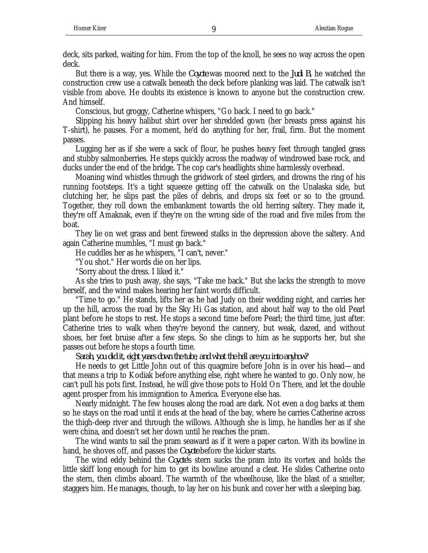deck, sits parked, waiting for him. From the top of the knoll, he sees no way across the open deck.

But there is a way, yes. While the *Coyote* was moored next to the *Judi B*, he watched the construction crew use a catwalk beneath the deck before planking was laid. The catwalk isn't visible from above. He doubts its existence is known to anyone but the construction crew. And himself.

Conscious, but groggy, Catherine whispers, "Go back. I need to go back."

Slipping his heavy halibut shirt over her shredded gown (her breasts press against his T-shirt), he pauses. For a moment, he'd do anything for her, frail, firm. But the moment passes.

Lugging her as if she were a sack of flour, he pushes heavy feet through tangled grass and stubby salmonberries. He steps quickly across the roadway of windrowed base rock, and ducks under the end of the bridge. The cop car's headlights shine harmlessly overhead.

Moaning wind whistles through the gridwork of steel girders, and drowns the ring of his running footsteps. It's a tight squeeze getting off the catwalk on the Unalaska side, but clutching her, he slips past the piles of debris, and drops six feet or so to the ground. Together, they roll down the embankment towards the old herring saltery. They made it, they're off Amaknak, even if they're on the wrong side of the road and five miles from the boat.

They lie on wet grass and bent fireweed stalks in the depression above the saltery. And again Catherine mumbles, "I must go back."

He cuddles her as he whispers, "I can't, never."

"You shot." Her words die on her lips.

"Sorry about the dress. I liked it."

As she tries to push away, she says, "Take me back." But she lacks the strength to move herself, and the wind makes hearing her faint words difficult.

"Time to go." He stands, lifts her as he had Judy on their wedding night, and carries her up the hill, across the road by the Sky Hi Gas station, and about half way to the old Pearl plant before he stops to rest. He stops a second time before Pearl; the third time, just after. Catherine tries to walk when they're beyond the cannery, but weak, dazed, and without shoes, her feet bruise after a few steps. So she clings to him as he supports her, but she passes out before he stops a fourth time.

*Sarah, you did it, eight years down the tube, and what the hell are you into anyhow?*

He needs to get Little John out of this quagmire before John is in over his head—and that means a trip to Kodiak before anything else, right where he wanted to go. Only now, he can't pull his pots first. Instead, he will give those pots to Hold On There, and let the double agent prosper from his immigration to America. Everyone else has.

Nearly midnight. The few houses along the road are dark. Not even a dog barks at them so he stays on the road until it ends at the head of the bay, where he carries Catherine across the thigh-deep river and through the willows. Although she is limp, he handles her as if she were china, and doesn't set her down until he reaches the pram.

The wind wants to sail the pram seaward as if it were a paper carton. With its bowline in hand, he shoves off, and passes the *Coyote* before the kicker starts.

The wind eddy behind the *Coyote'*s stern sucks the pram into its vortex and holds the little skiff long enough for him to get its bowline around a cleat. He slides Catherine onto the stern, then climbs aboard. The warmth of the wheelhouse, like the blast of a smelter, staggers him. He manages, though, to lay her on his bunk and cover her with a sleeping bag.